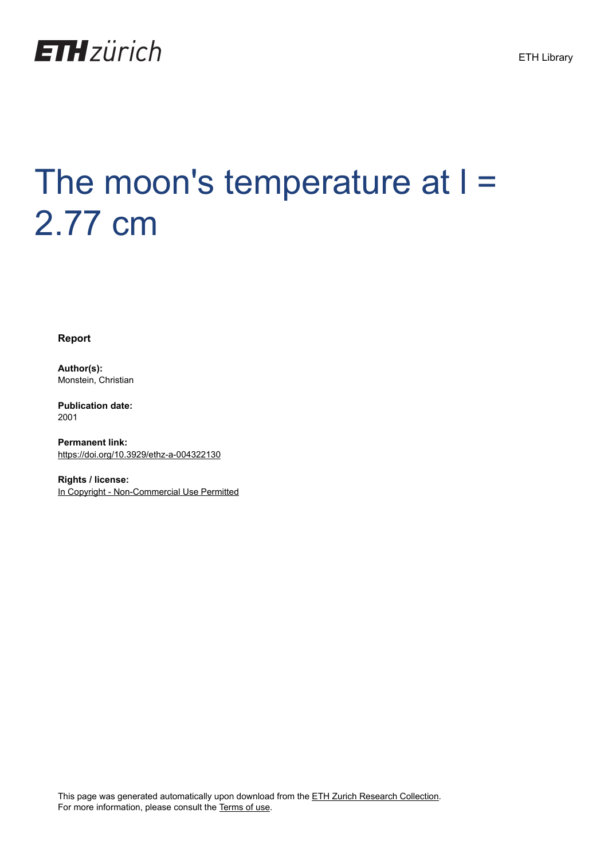

# The moon's temperature at I = 2.77 cm

**Report**

**Author(s):** Monstein, Christian

**Publication date:** 2001

**Permanent link:** <https://doi.org/10.3929/ethz-a-004322130>

**Rights / license:** [In Copyright - Non-Commercial Use Permitted](http://rightsstatements.org/page/InC-NC/1.0/)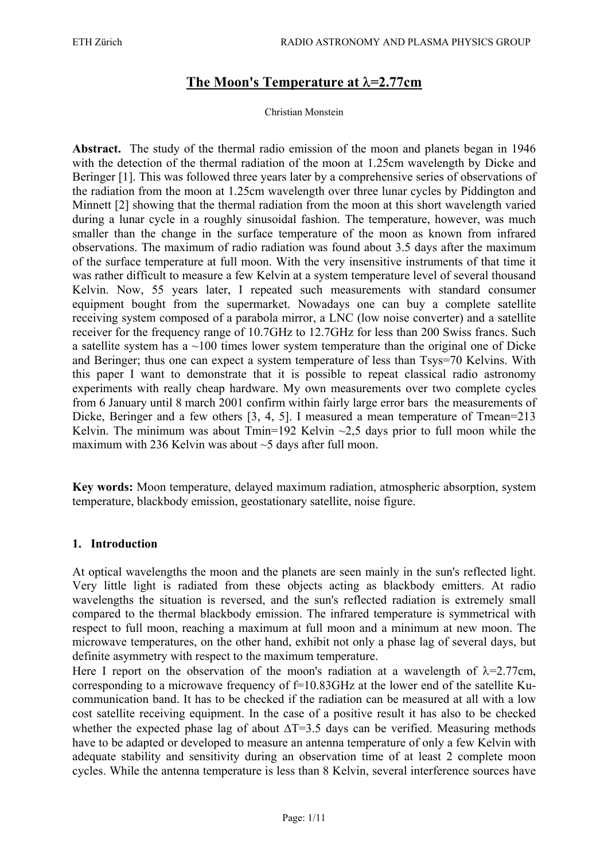# **The Moon's Temperature at** λ**=2.77cm**

#### Christian Monstein

**Abstract.** The study of the thermal radio emission of the moon and planets began in 1946 with the detection of the thermal radiation of the moon at 1.25cm wavelength by Dicke and Beringer [1]. This was followed three years later by a comprehensive series of observations of the radiation from the moon at 1.25cm wavelength over three lunar cycles by Piddington and Minnett [2] showing that the thermal radiation from the moon at this short wavelength varied during a lunar cycle in a roughly sinusoidal fashion. The temperature, however, was much smaller than the change in the surface temperature of the moon as known from infrared observations. The maximum of radio radiation was found about 3.5 days after the maximum of the surface temperature at full moon. With the very insensitive instruments of that time it was rather difficult to measure a few Kelvin at a system temperature level of several thousand Kelvin. Now, 55 years later, I repeated such measurements with standard consumer equipment bought from the supermarket. Nowadays one can buy a complete satellite receiving system composed of a parabola mirror, a LNC (low noise converter) and a satellite receiver for the frequency range of 10.7GHz to 12.7GHz for less than 200 Swiss francs. Such a satellite system has a  $\sim$ 100 times lower system temperature than the original one of Dicke and Beringer; thus one can expect a system temperature of less than Tsys=70 Kelvins. With this paper I want to demonstrate that it is possible to repeat classical radio astronomy experiments with really cheap hardware. My own measurements over two complete cycles from 6 January until 8 march 2001 confirm within fairly large error bars the measurements of Dicke, Beringer and a few others [3, 4, 5]. I measured a mean temperature of Tmean=213 Kelvin. The minimum was about Tmin=192 Kelvin  $\sim$ 2.5 days prior to full moon while the maximum with 236 Kelvin was about ~5 days after full moon.

**Key words:** Moon temperature, delayed maximum radiation, atmospheric absorption, system temperature, blackbody emission, geostationary satellite, noise figure.

## **1. Introduction**

At optical wavelengths the moon and the planets are seen mainly in the sun's reflected light. Very little light is radiated from these objects acting as blackbody emitters. At radio wavelengths the situation is reversed, and the sun's reflected radiation is extremely small compared to the thermal blackbody emission. The infrared temperature is symmetrical with respect to full moon, reaching a maximum at full moon and a minimum at new moon. The microwave temperatures, on the other hand, exhibit not only a phase lag of several days, but definite asymmetry with respect to the maximum temperature.

Here I report on the observation of the moon's radiation at a wavelength of  $\lambda$ =2.77cm, corresponding to a microwave frequency of f=10.83GHz at the lower end of the satellite Kucommunication band. It has to be checked if the radiation can be measured at all with a low cost satellite receiving equipment. In the case of a positive result it has also to be checked whether the expected phase lag of about  $\Delta T=3.5$  days can be verified. Measuring methods have to be adapted or developed to measure an antenna temperature of only a few Kelvin with adequate stability and sensitivity during an observation time of at least 2 complete moon cycles. While the antenna temperature is less than 8 Kelvin, several interference sources have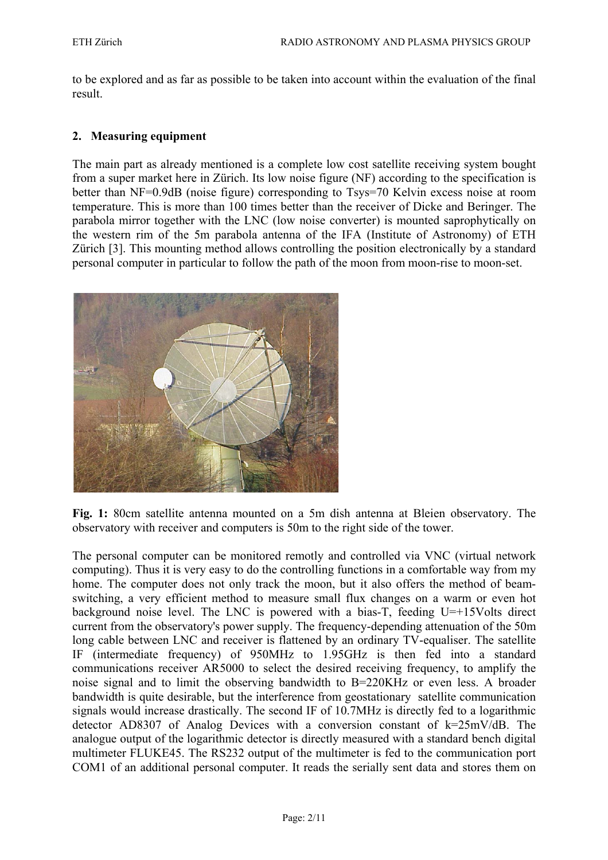to be explored and as far as possible to be taken into account within the evaluation of the final result.

#### **2. Measuring equipment**

The main part as already mentioned is a complete low cost satellite receiving system bought from a super market here in Zürich. Its low noise figure (NF) according to the specification is better than NF=0.9dB (noise figure) corresponding to Tsys=70 Kelvin excess noise at room temperature. This is more than 100 times better than the receiver of Dicke and Beringer. The parabola mirror together with the LNC (low noise converter) is mounted saprophytically on the western rim of the 5m parabola antenna of the IFA (Institute of Astronomy) of ETH Zürich [3]. This mounting method allows controlling the position electronically by a standard personal computer in particular to follow the path of the moon from moon-rise to moon-set.



**Fig. 1:** 80cm satellite antenna mounted on a 5m dish antenna at Bleien observatory. The observatory with receiver and computers is 50m to the right side of the tower.

The personal computer can be monitored remotly and controlled via VNC (virtual network computing). Thus it is very easy to do the controlling functions in a comfortable way from my home. The computer does not only track the moon, but it also offers the method of beamswitching, a very efficient method to measure small flux changes on a warm or even hot background noise level. The LNC is powered with a bias-T, feeding U=+15Volts direct current from the observatory's power supply. The frequency-depending attenuation of the 50m long cable between LNC and receiver is flattened by an ordinary TV-equaliser. The satellite IF (intermediate frequency) of 950MHz to 1.95GHz is then fed into a standard communications receiver AR5000 to select the desired receiving frequency, to amplify the noise signal and to limit the observing bandwidth to B=220KHz or even less. A broader bandwidth is quite desirable, but the interference from geostationary satellite communication signals would increase drastically. The second IF of 10.7MHz is directly fed to a logarithmic detector AD8307 of Analog Devices with a conversion constant of k=25mV/dB. The analogue output of the logarithmic detector is directly measured with a standard bench digital multimeter FLUKE45. The RS232 output of the multimeter is fed to the communication port COM1 of an additional personal computer. It reads the serially sent data and stores them on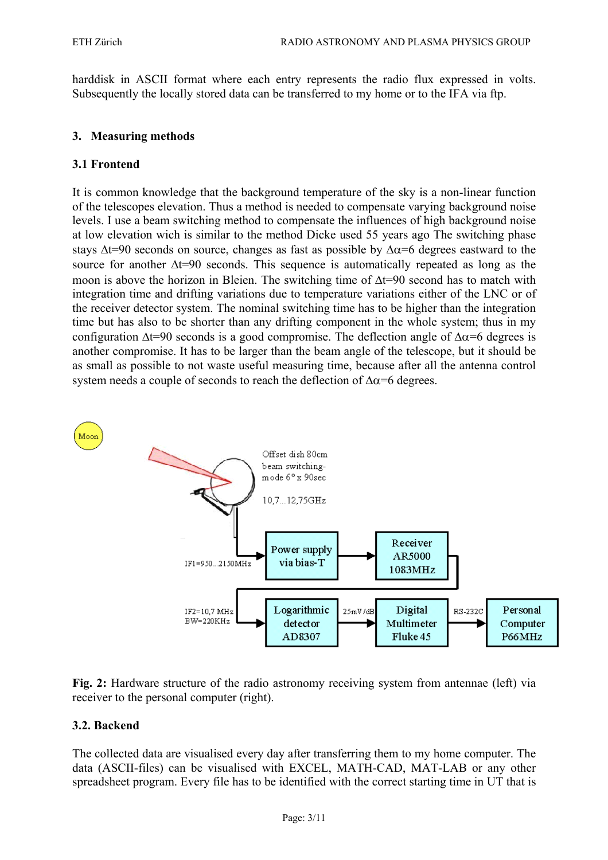harddisk in ASCII format where each entry represents the radio flux expressed in volts. Subsequently the locally stored data can be transferred to my home or to the IFA via ftp.

## **3. Measuring methods**

# **3.1 Frontend**

It is common knowledge that the background temperature of the sky is a non-linear function of the telescopes elevation. Thus a method is needed to compensate varying background noise levels. I use a beam switching method to compensate the influences of high background noise at low elevation wich is similar to the method Dicke used 55 years ago The switching phase stays  $\Delta t=90$  seconds on source, changes as fast as possible by  $\Delta \alpha=6$  degrees eastward to the source for another Δt=90 seconds. This sequence is automatically repeated as long as the moon is above the horizon in Bleien. The switching time of ∆t=90 second has to match with integration time and drifting variations due to temperature variations either of the LNC or of the receiver detector system. The nominal switching time has to be higher than the integration time but has also to be shorter than any drifting component in the whole system; thus in my configuration  $\Delta t=90$  seconds is a good compromise. The deflection angle of  $\Delta \alpha=6$  degrees is another compromise. It has to be larger than the beam angle of the telescope, but it should be as small as possible to not waste useful measuring time, because after all the antenna control system needs a couple of seconds to reach the deflection of  $\Delta \alpha$ =6 degrees.





# **3.2. Backend**

The collected data are visualised every day after transferring them to my home computer. The data (ASCII-files) can be visualised with EXCEL, MATH-CAD, MAT-LAB or any other spreadsheet program. Every file has to be identified with the correct starting time in UT that is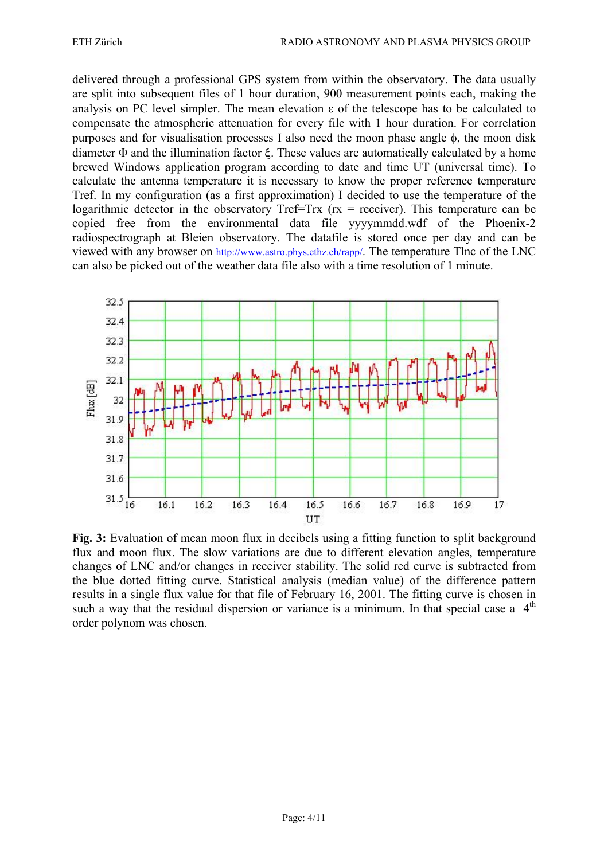delivered through a professional GPS system from within the observatory. The data usually are split into subsequent files of 1 hour duration, 900 measurement points each, making the analysis on PC level simpler. The mean elevation ε of the telescope has to be calculated to compensate the atmospheric attenuation for every file with 1 hour duration. For correlation purposes and for visualisation processes I also need the moon phase angle φ, the moon disk diameter Φ and the illumination factor ξ. These values are automatically calculated by a home brewed Windows application program according to date and time UT (universal time). To calculate the antenna temperature it is necessary to know the proper reference temperature Tref. In my configuration (as a first approximation) I decided to use the temperature of the logarithmic detector in the observatory  $Tref=Trx$  ( $rx = receiver$ ). This temperature can be copied free from the environmental data file yyyymmdd.wdf of the Phoenix-2 radiospectrograph at Bleien observatory. The datafile is stored once per day and can be viewed with any browser on http://www.astro.phys.ethz.ch/rapp/. The temperature Tlnc of the LNC can also be picked out of the weather data file also with a time resolution of 1 minute.



**Fig. 3:** Evaluation of mean moon flux in decibels using a fitting function to split background flux and moon flux. The slow variations are due to different elevation angles, temperature changes of LNC and/or changes in receiver stability. The solid red curve is subtracted from the blue dotted fitting curve. Statistical analysis (median value) of the difference pattern results in a single flux value for that file of February 16, 2001. The fitting curve is chosen in such a way that the residual dispersion or variance is a minimum. In that special case a  $4<sup>th</sup>$ order polynom was chosen.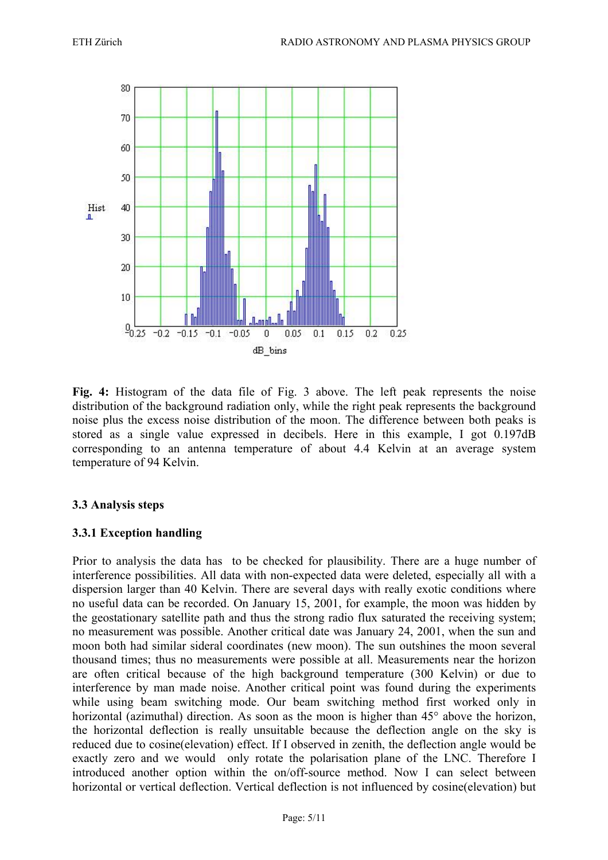

**Fig. 4:** Histogram of the data file of Fig. 3 above. The left peak represents the noise distribution of the background radiation only, while the right peak represents the background noise plus the excess noise distribution of the moon. The difference between both peaks is stored as a single value expressed in decibels. Here in this example, I got 0.197dB corresponding to an antenna temperature of about 4.4 Kelvin at an average system temperature of 94 Kelvin.

## **3.3 Analysis steps**

## **3.3.1 Exception handling**

Prior to analysis the data has to be checked for plausibility. There are a huge number of interference possibilities. All data with non-expected data were deleted, especially all with a dispersion larger than 40 Kelvin. There are several days with really exotic conditions where no useful data can be recorded. On January 15, 2001, for example, the moon was hidden by the geostationary satellite path and thus the strong radio flux saturated the receiving system; no measurement was possible. Another critical date was January 24, 2001, when the sun and moon both had similar sideral coordinates (new moon). The sun outshines the moon several thousand times; thus no measurements were possible at all. Measurements near the horizon are often critical because of the high background temperature (300 Kelvin) or due to interference by man made noise. Another critical point was found during the experiments while using beam switching mode. Our beam switching method first worked only in horizontal (azimuthal) direction. As soon as the moon is higher than 45<sup>°</sup> above the horizon, the horizontal deflection is really unsuitable because the deflection angle on the sky is reduced due to cosine(elevation) effect. If I observed in zenith, the deflection angle would be exactly zero and we would only rotate the polarisation plane of the LNC. Therefore I introduced another option within the on/off-source method. Now I can select between horizontal or vertical deflection. Vertical deflection is not influenced by cosine(elevation) but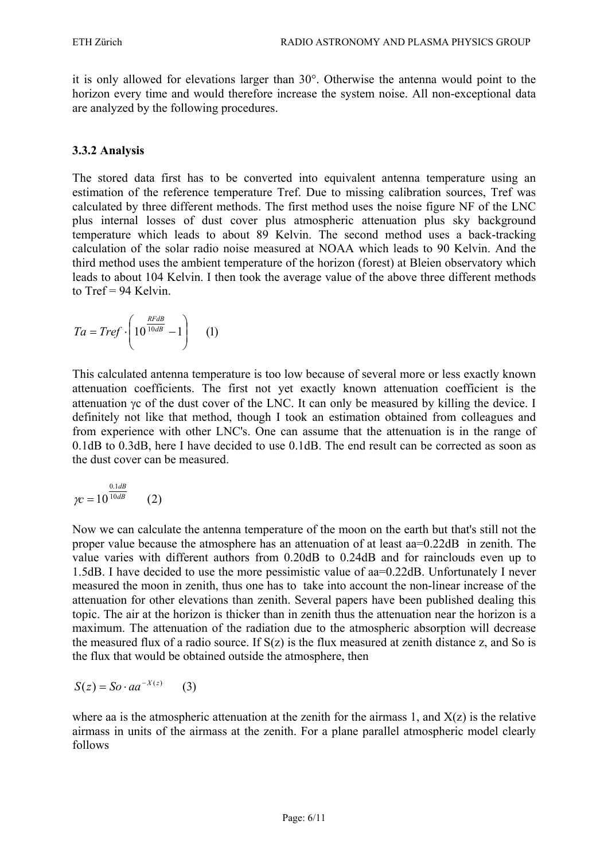it is only allowed for elevations larger than 30°. Otherwise the antenna would point to the horizon every time and would therefore increase the system noise. All non-exceptional data are analyzed by the following procedures.

## **3.3.2 Analysis**

The stored data first has to be converted into equivalent antenna temperature using an estimation of the reference temperature Tref. Due to missing calibration sources, Tref was calculated by three different methods. The first method uses the noise figure NF of the LNC plus internal losses of dust cover plus atmospheric attenuation plus sky background temperature which leads to about 89 Kelvin. The second method uses a back-tracking calculation of the solar radio noise measured at NOAA which leads to 90 Kelvin. And the third method uses the ambient temperature of the horizon (forest) at Bleien observatory which leads to about 104 Kelvin. I then took the average value of the above three different methods to  $Tref = 94$  Kelvin.

$$
Ta = Tref \cdot \left(10^{\frac{RFdB}{10dB}} - 1\right) \quad (1)
$$

This calculated antenna temperature is too low because of several more or less exactly known attenuation coefficients. The first not yet exactly known attenuation coefficient is the attenuation γc of the dust cover of the LNC. It can only be measured by killing the device. I definitely not like that method, though I took an estimation obtained from colleagues and from experience with other LNC's. One can assume that the attenuation is in the range of 0.1dB to 0.3dB, here I have decided to use 0.1dB. The end result can be corrected as soon as the dust cover can be measured.

$$
\gamma c = 10^{\frac{0.1dB}{10dB}} \qquad (2)
$$

Now we can calculate the antenna temperature of the moon on the earth but that's still not the proper value because the atmosphere has an attenuation of at least aa=0.22dB in zenith. The value varies with different authors from 0.20dB to 0.24dB and for rainclouds even up to 1.5dB. I have decided to use the more pessimistic value of aa=0.22dB. Unfortunately I never measured the moon in zenith, thus one has to take into account the non-linear increase of the attenuation for other elevations than zenith. Several papers have been published dealing this topic. The air at the horizon is thicker than in zenith thus the attenuation near the horizon is a maximum. The attenuation of the radiation due to the atmospheric absorption will decrease the measured flux of a radio source. If  $S(z)$  is the flux measured at zenith distance z, and So is the flux that would be obtained outside the atmosphere, then

$$
S(z) = So \cdot aa^{-X(z)} \qquad (3)
$$

where aa is the atmospheric attenuation at the zenith for the airmass 1, and  $X(z)$  is the relative airmass in units of the airmass at the zenith. For a plane parallel atmospheric model clearly follows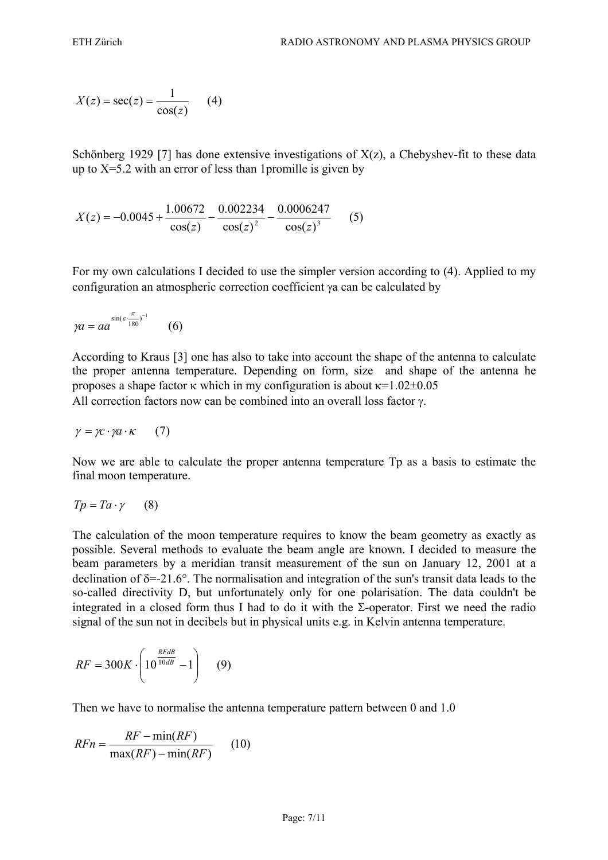$$
X(z) = \sec(z) = \frac{1}{\cos(z)} \qquad (4)
$$

Schönberg 1929 [7] has done extensive investigations of  $X(z)$ , a Chebyshev-fit to these data up to  $X=5.2$  with an error of less than 1 promille is given by

$$
X(z) = -0.0045 + \frac{1.00672}{\cos(z)} - \frac{0.002234}{\cos(z)^2} - \frac{0.0006247}{\cos(z)^3}
$$
(5)

For my own calculations I decided to use the simpler version according to (4). Applied to my configuration an atmospheric correction coefficient γa can be calculated by

$$
\gamma a = a a^{\sin(\varepsilon \cdot \frac{\pi}{180})^{-1}} \qquad (6)
$$

According to Kraus [3] one has also to take into account the shape of the antenna to calculate the proper antenna temperature. Depending on form, size and shape of the antenna he proposes a shape factor κ which in my configuration is about κ=1.02±0.05 All correction factors now can be combined into an overall loss factor γ.

$$
\gamma = \gamma c \cdot \gamma a \cdot \kappa \qquad (7)
$$

Now we are able to calculate the proper antenna temperature Tp as a basis to estimate the final moon temperature.

$$
Tp = Ta \cdot \gamma \qquad (8)
$$

The calculation of the moon temperature requires to know the beam geometry as exactly as possible. Several methods to evaluate the beam angle are known. I decided to measure the beam parameters by a meridian transit measurement of the sun on January 12, 2001 at a declination of  $\delta$ =-21.6°. The normalisation and integration of the sun's transit data leads to the so-called directivity D, but unfortunately only for one polarisation. The data couldn't be integrated in a closed form thus I had to do it with the  $\Sigma$ -operator. First we need the radio signal of the sun not in decibels but in physical units e.g. in Kelvin antenna temperature.

$$
RF = 300K \cdot \left(10^{\frac{RFdB}{10dB}} - 1\right) \tag{9}
$$

Then we have to normalise the antenna temperature pattern between 0 and 1.0

$$
RFn = \frac{RF - \min(RF)}{\max(RF) - \min(RF)}\qquad(10)
$$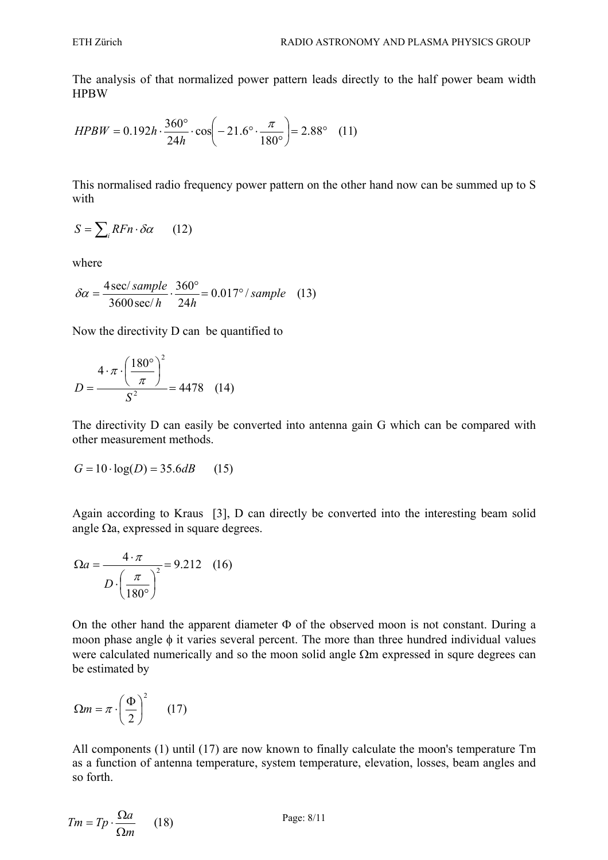The analysis of that normalized power pattern leads directly to the half power beam width HPBW

$$
HPBW = 0.192h \cdot \frac{360^{\circ}}{24h} \cdot \cos\left(-21.6^{\circ} \cdot \frac{\pi}{180^{\circ}}\right) = 2.88^{\circ} \quad (11)
$$

This normalised radio frequency power pattern on the other hand now can be summed up to S with

$$
S = \sum_{i} RFn \cdot \delta \alpha \qquad (12)
$$

where

$$
\delta \alpha = \frac{4 \sec/sample}{3600 \sec/h} \cdot \frac{360^{\circ}}{24h} = 0.017^{\circ}/sample \quad (13)
$$

Now the directivity D can be quantified to

$$
D = \frac{4 \cdot \pi \cdot \left(\frac{180^{\circ}}{\pi}\right)^2}{S^2} = 4478
$$
 (14)

The directivity D can easily be converted into antenna gain G which can be compared with other measurement methods.

$$
G = 10 \cdot \log(D) = 35.6 dB \qquad (15)
$$

Again according to Kraus [3], D can directly be converted into the interesting beam solid angle  $\Omega$ a, expressed in square degrees.

$$
\Omega a = \frac{4 \cdot \pi}{D \cdot \left(\frac{\pi}{180^{\circ}}\right)^{2}} = 9.212 \quad (16)
$$

On the other hand the apparent diameter Φ of the observed moon is not constant. During a moon phase angle φ it varies several percent. The more than three hundred individual values were calculated numerically and so the moon solid angle  $\Omega$ m expressed in squre degrees can be estimated by

$$
\Omega m = \pi \cdot \left(\frac{\Phi}{2}\right)^2 \qquad (17)
$$

All components (1) until (17) are now known to finally calculate the moon's temperature Tm as a function of antenna temperature, system temperature, elevation, losses, beam angles and so forth.

$$
Tm = Tp \cdot \frac{\Omega a}{\Omega m} \qquad (18)
$$

Page: 8/11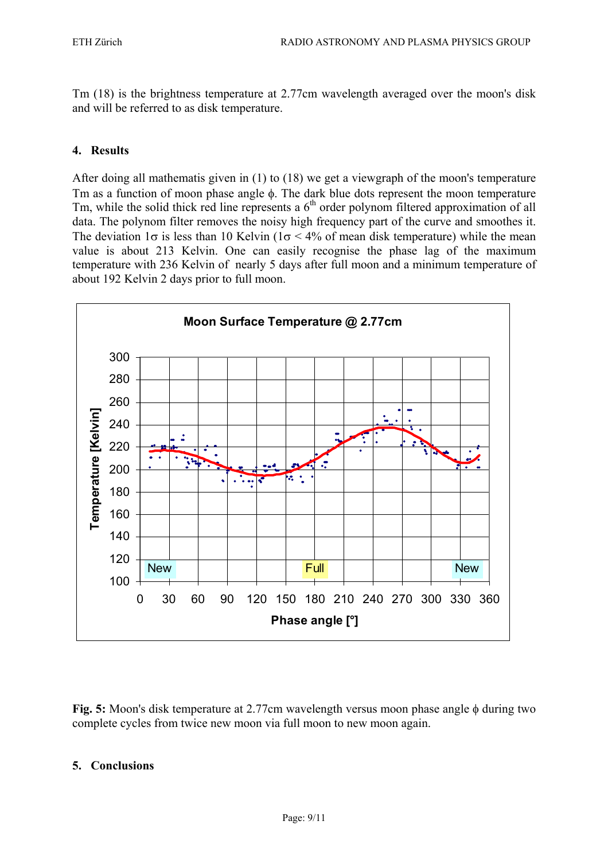Tm (18) is the brightness temperature at 2.77cm wavelength averaged over the moon's disk and will be referred to as disk temperature.

## **4. Results**

After doing all mathematis given in (1) to (18) we get a viewgraph of the moon's temperature Tm as a function of moon phase angle  $\phi$ . The dark blue dots represent the moon temperature Tm, while the solid thick red line represents a  $6<sup>th</sup>$  order polynom filtered approximation of all data. The polynom filter removes the noisy high frequency part of the curve and smoothes it. The deviation  $1\sigma$  is less than 10 Kelvin ( $1\sigma < 4\%$  of mean disk temperature) while the mean value is about 213 Kelvin. One can easily recognise the phase lag of the maximum temperature with 236 Kelvin of nearly 5 days after full moon and a minimum temperature of about 192 Kelvin 2 days prior to full moon.



**Fig. 5:** Moon's disk temperature at 2.77cm wavelength versus moon phase angle φ during two complete cycles from twice new moon via full moon to new moon again.

## **5. Conclusions**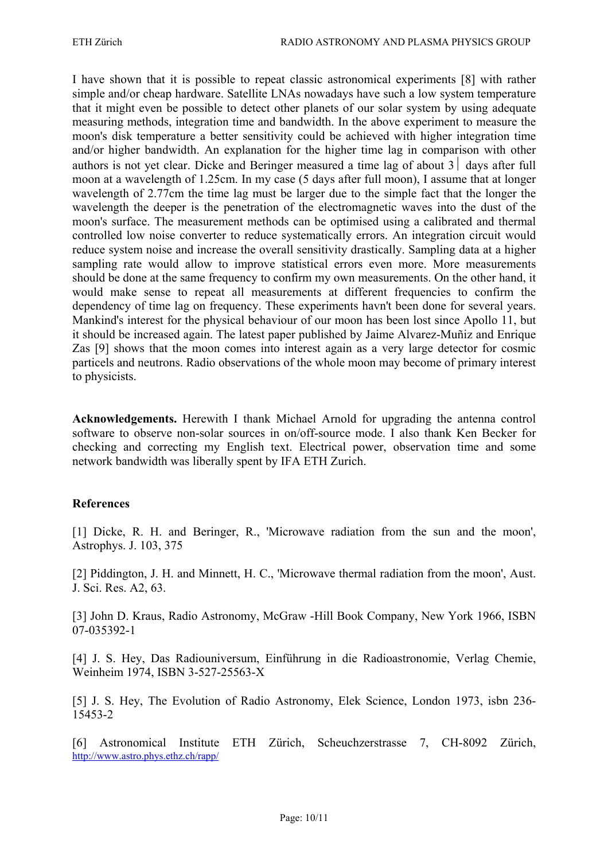I have shown that it is possible to repeat classic astronomical experiments [8] with rather simple and/or cheap hardware. Satellite LNAs nowadays have such a low system temperature that it might even be possible to detect other planets of our solar system by using adequate measuring methods, integration time and bandwidth. In the above experiment to measure the moon's disk temperature a better sensitivity could be achieved with higher integration time and/or higher bandwidth. An explanation for the higher time lag in comparison with other authors is not yet clear. Dicke and Beringer measured a time lag of about  $3 \mid$  days after full moon at a wavelength of 1.25cm. In my case (5 days after full moon), I assume that at longer wavelength of 2.77cm the time lag must be larger due to the simple fact that the longer the wavelength the deeper is the penetration of the electromagnetic waves into the dust of the moon's surface. The measurement methods can be optimised using a calibrated and thermal controlled low noise converter to reduce systematically errors. An integration circuit would reduce system noise and increase the overall sensitivity drastically. Sampling data at a higher sampling rate would allow to improve statistical errors even more. More measurements should be done at the same frequency to confirm my own measurements. On the other hand, it would make sense to repeat all measurements at different frequencies to confirm the dependency of time lag on frequency. These experiments havn't been done for several years. Mankind's interest for the physical behaviour of our moon has been lost since Apollo 11, but it should be increased again. The latest paper published by Jaime Alvarez-Muñiz and Enrique Zas [9] shows that the moon comes into interest again as a very large detector for cosmic particels and neutrons. Radio observations of the whole moon may become of primary interest to physicists.

**Acknowledgements.** Herewith I thank Michael Arnold for upgrading the antenna control software to observe non-solar sources in on/off-source mode. I also thank Ken Becker for checking and correcting my English text. Electrical power, observation time and some network bandwidth was liberally spent by IFA ETH Zurich.

#### **References**

[1] Dicke, R. H. and Beringer, R., 'Microwave radiation from the sun and the moon', Astrophys. J. 103, 375

[2] Piddington, J. H. and Minnett, H. C., 'Microwave thermal radiation from the moon', Aust. J. Sci. Res. A2, 63.

[3] John D. Kraus, Radio Astronomy, McGraw -Hill Book Company, New York 1966, ISBN 07-035392-1

[4] J. S. Hey, Das Radiouniversum, Einführung in die Radioastronomie, Verlag Chemie, Weinheim 1974, ISBN 3-527-25563-X

[5] J. S. Hey, The Evolution of Radio Astronomy, Elek Science, London 1973, isbn 236- 15453-2

[6] Astronomical Institute ETH Zürich, Scheuchzerstrasse 7, CH-8092 Zürich, http://www.astro.phys.ethz.ch/rapp/